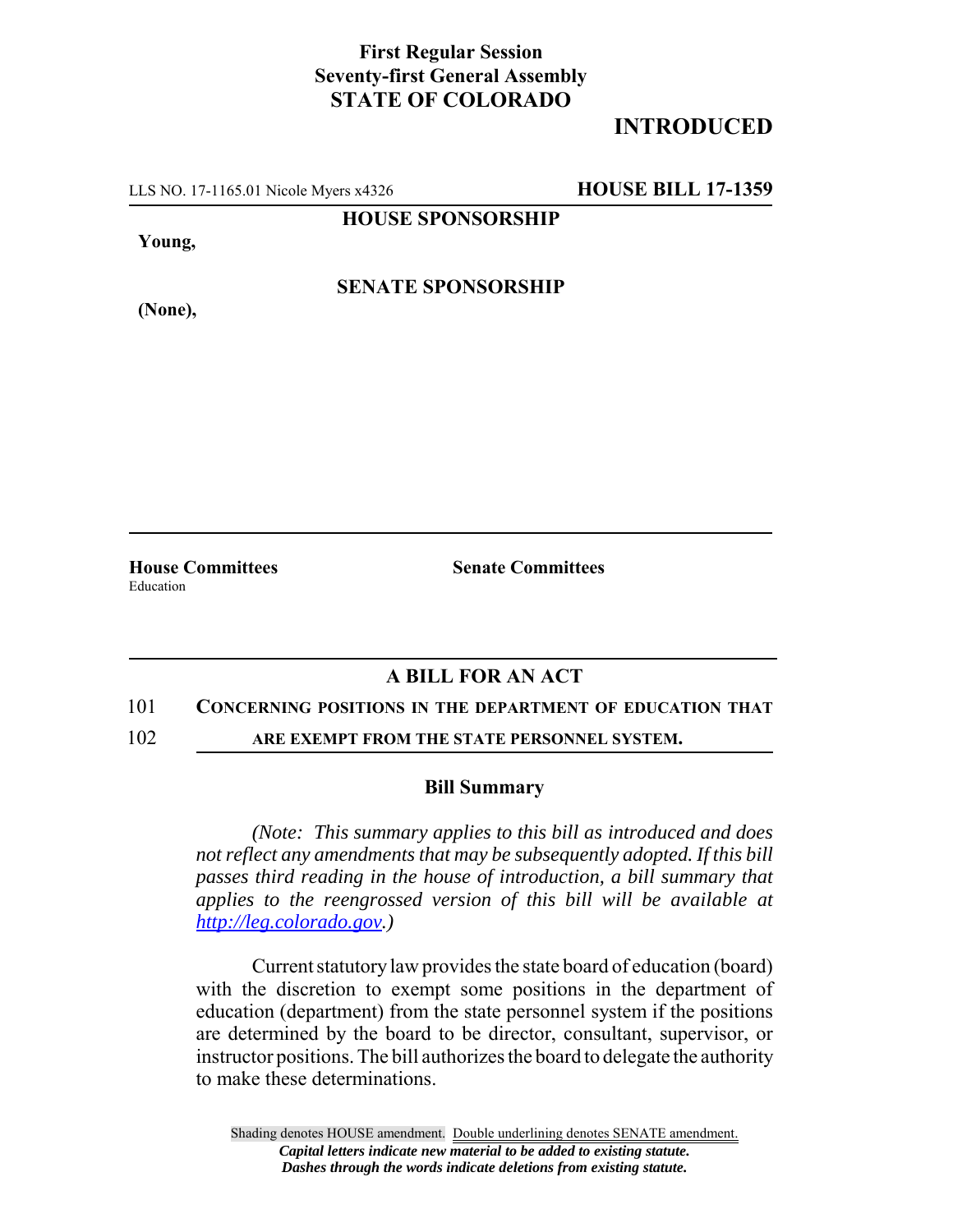## **First Regular Session Seventy-first General Assembly STATE OF COLORADO**

# **INTRODUCED**

LLS NO. 17-1165.01 Nicole Myers x4326 **HOUSE BILL 17-1359**

**HOUSE SPONSORSHIP**

**Young,**

**(None),**

**SENATE SPONSORSHIP**

**House Committees Senate Committees** Education

### **A BILL FOR AN ACT**

#### 101 **CONCERNING POSITIONS IN THE DEPARTMENT OF EDUCATION THAT**

102 **ARE EXEMPT FROM THE STATE PERSONNEL SYSTEM.**

#### **Bill Summary**

*(Note: This summary applies to this bill as introduced and does not reflect any amendments that may be subsequently adopted. If this bill passes third reading in the house of introduction, a bill summary that applies to the reengrossed version of this bill will be available at http://leg.colorado.gov.)*

Current statutory law provides the state board of education (board) with the discretion to exempt some positions in the department of education (department) from the state personnel system if the positions are determined by the board to be director, consultant, supervisor, or instructor positions. The bill authorizes the board to delegate the authority to make these determinations.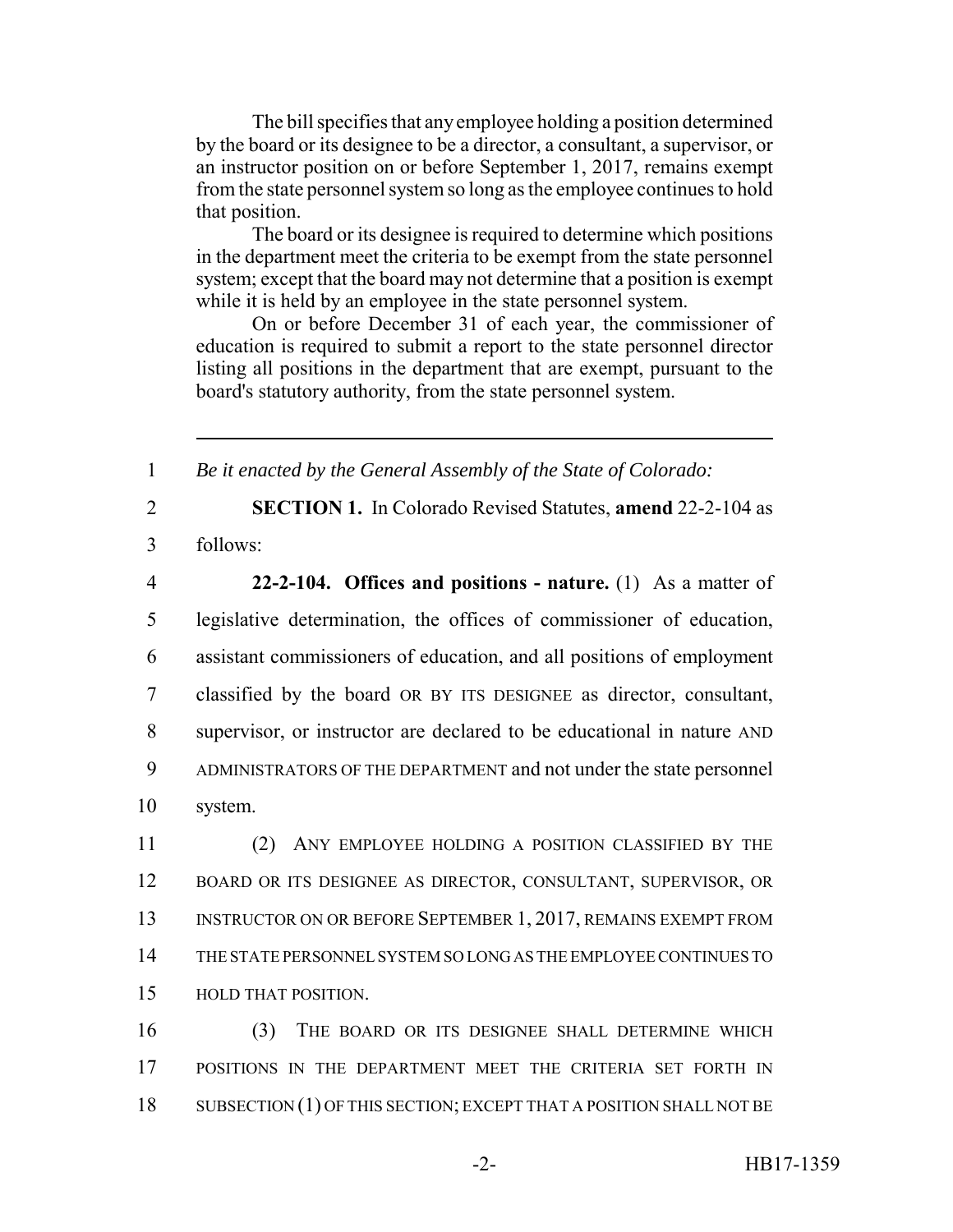The bill specifies that any employee holding a position determined by the board or its designee to be a director, a consultant, a supervisor, or an instructor position on or before September 1, 2017, remains exempt from the state personnel system so long as the employee continues to hold that position.

The board or its designee is required to determine which positions in the department meet the criteria to be exempt from the state personnel system; except that the board may not determine that a position is exempt while it is held by an employee in the state personnel system.

On or before December 31 of each year, the commissioner of education is required to submit a report to the state personnel director listing all positions in the department that are exempt, pursuant to the board's statutory authority, from the state personnel system.

1 *Be it enacted by the General Assembly of the State of Colorado:*

2 **SECTION 1.** In Colorado Revised Statutes, **amend** 22-2-104 as 3 follows:

 **22-2-104. Offices and positions - nature.** (1) As a matter of legislative determination, the offices of commissioner of education, assistant commissioners of education, and all positions of employment classified by the board OR BY ITS DESIGNEE as director, consultant, supervisor, or instructor are declared to be educational in nature AND ADMINISTRATORS OF THE DEPARTMENT and not under the state personnel 10 system.

 (2) ANY EMPLOYEE HOLDING A POSITION CLASSIFIED BY THE BOARD OR ITS DESIGNEE AS DIRECTOR, CONSULTANT, SUPERVISOR, OR 13 INSTRUCTOR ON OR BEFORE SEPTEMBER 1, 2017, REMAINS EXEMPT FROM THE STATE PERSONNEL SYSTEM SO LONG AS THE EMPLOYEE CONTINUES TO HOLD THAT POSITION.

16 (3) THE BOARD OR ITS DESIGNEE SHALL DETERMINE WHICH 17 POSITIONS IN THE DEPARTMENT MEET THE CRITERIA SET FORTH IN 18 SUBSECTION (1) OF THIS SECTION; EXCEPT THAT A POSITION SHALL NOT BE